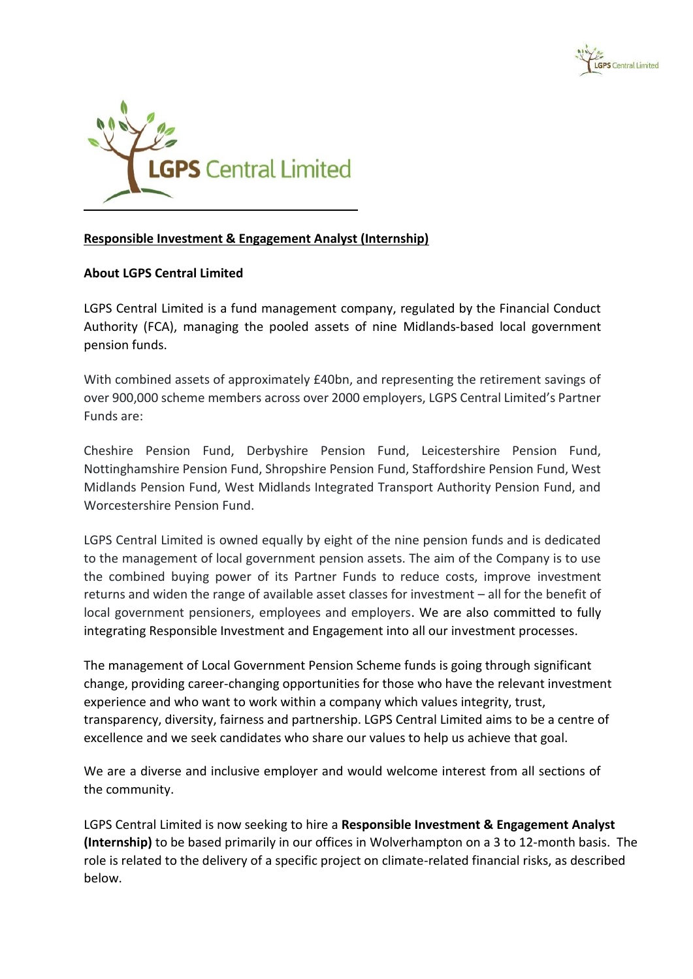



## **Responsible Investment & Engagement Analyst (Internship)**

## **About LGPS Central Limited**

LGPS Central Limited is a fund management company, regulated by the Financial Conduct Authority (FCA), managing the pooled assets of nine Midlands-based local government pension funds.

With combined assets of approximately £40bn, and representing the retirement savings of over 900,000 scheme members across over 2000 employers, LGPS Central Limited's Partner Funds are:

Cheshire Pension Fund, Derbyshire Pension Fund, Leicestershire Pension Fund, Nottinghamshire Pension Fund, Shropshire Pension Fund, Staffordshire Pension Fund, West Midlands Pension Fund, West Midlands Integrated Transport Authority Pension Fund, and Worcestershire Pension Fund.

LGPS Central Limited is owned equally by eight of the nine pension funds and is dedicated to the management of local government pension assets. The aim of the Company is to use the combined buying power of its Partner Funds to reduce costs, improve investment returns and widen the range of available asset classes for investment – all for the benefit of local government pensioners, employees and employers. We are also committed to fully integrating Responsible Investment and Engagement into all our investment processes.

The management of Local Government Pension Scheme funds is going through significant change, providing career-changing opportunities for those who have the relevant investment experience and who want to work within a company which values integrity, trust, transparency, diversity, fairness and partnership. LGPS Central Limited aims to be a centre of excellence and we seek candidates who share our values to help us achieve that goal.

We are a diverse and inclusive employer and would welcome interest from all sections of the community.

LGPS Central Limited is now seeking to hire a **Responsible Investment & Engagement Analyst (Internship)** to be based primarily in our offices in Wolverhampton on a 3 to 12-month basis. The role is related to the delivery of a specific project on climate-related financial risks, as described below.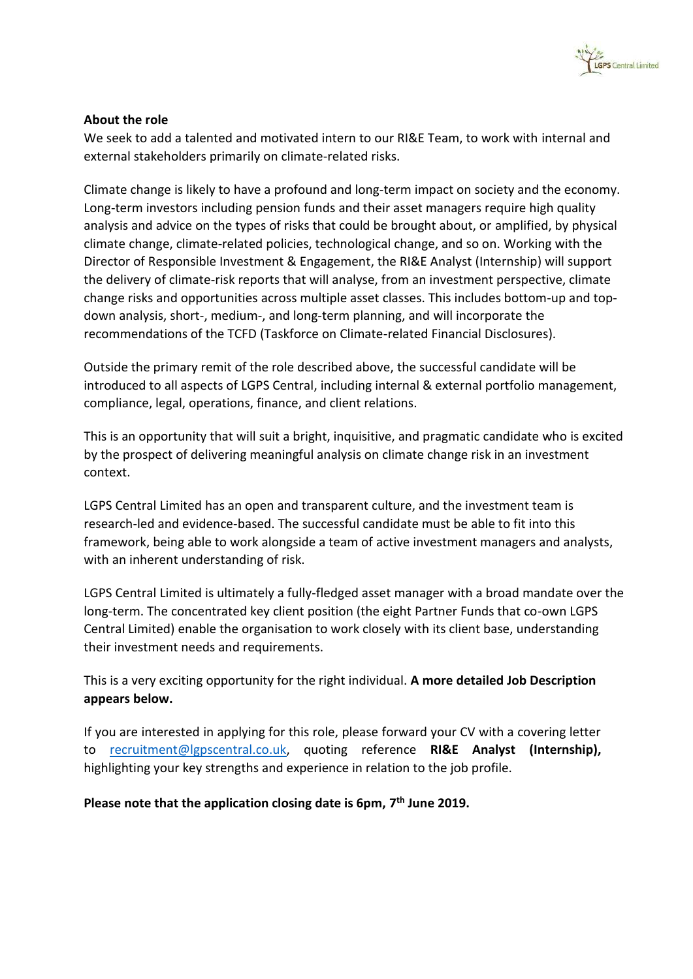

## **About the role**

We seek to add a talented and motivated intern to our RI&E Team, to work with internal and external stakeholders primarily on climate-related risks.

Climate change is likely to have a profound and long-term impact on society and the economy. Long-term investors including pension funds and their asset managers require high quality analysis and advice on the types of risks that could be brought about, or amplified, by physical climate change, climate-related policies, technological change, and so on. Working with the Director of Responsible Investment & Engagement, the RI&E Analyst (Internship) will support the delivery of climate-risk reports that will analyse, from an investment perspective, climate change risks and opportunities across multiple asset classes. This includes bottom-up and topdown analysis, short-, medium-, and long-term planning, and will incorporate the recommendations of the TCFD (Taskforce on Climate-related Financial Disclosures).

Outside the primary remit of the role described above, the successful candidate will be introduced to all aspects of LGPS Central, including internal & external portfolio management, compliance, legal, operations, finance, and client relations.

This is an opportunity that will suit a bright, inquisitive, and pragmatic candidate who is excited by the prospect of delivering meaningful analysis on climate change risk in an investment context.

LGPS Central Limited has an open and transparent culture, and the investment team is research-led and evidence-based. The successful candidate must be able to fit into this framework, being able to work alongside a team of active investment managers and analysts, with an inherent understanding of risk.

LGPS Central Limited is ultimately a fully-fledged asset manager with a broad mandate over the long-term. The concentrated key client position (the eight Partner Funds that co-own LGPS Central Limited) enable the organisation to work closely with its client base, understanding their investment needs and requirements.

This is a very exciting opportunity for the right individual. **A more detailed Job Description appears below.**

If you are interested in applying for this role, please forward your CV with a covering letter to [recruitment@lgpscentral.co.uk,](mailto:recruitment@lgpscentral.co.uk) quoting reference **RI&E Analyst (Internship),** highlighting your key strengths and experience in relation to the job profile.

**Please note that the application closing date is 6pm, 7th June 2019.**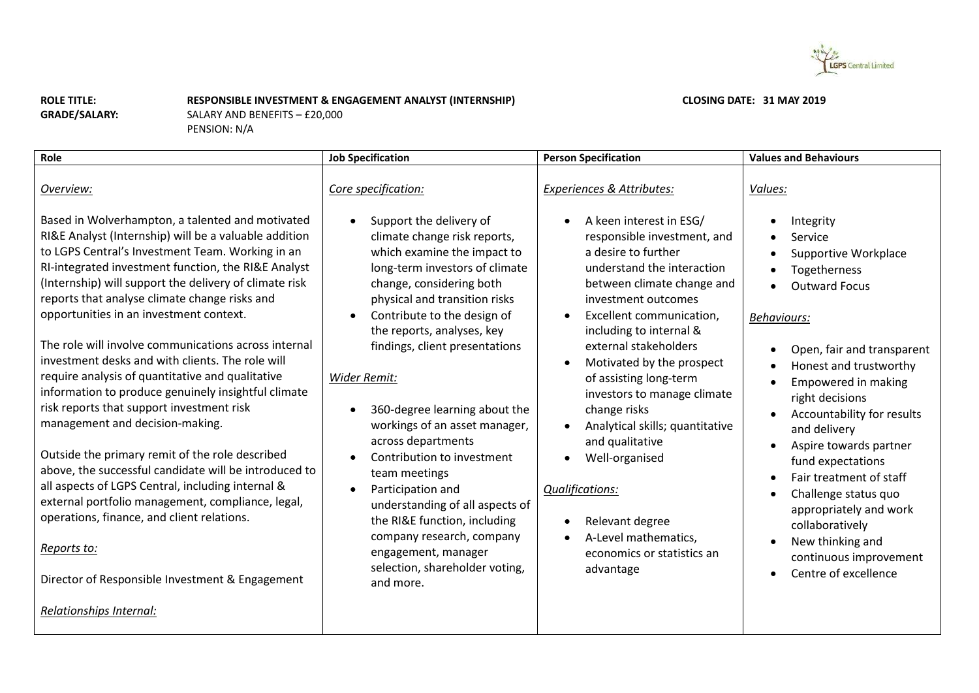

**CLOSING DATE: 31 MAY 2019** 

**ROLE TITLE: GRADE/SALARY:** **RESPONSIBLE INVESTMENT & ENGAGEMENT ANALYST (INTERNSHIP)**

SALARY AND BENEFITS – £20,000 PENSION: N/A

| Role                                                                                                                                                                                                                                                                                                                                                                                                                                                                                                                                                                                                                                                                                                                                                                                                                                                                                                                                                               | <b>Job Specification</b>                                                                                                                                                                                                                                                                                                                                                                                                                                                                                                                                                                                          | <b>Person Specification</b>                                                                                                                                                                                                                                                                                                                                                                                                                                                                                                                   | <b>Values and Behaviours</b>                                                                                                                                                                                                                                                                                                                                                                                                                                                                              |
|--------------------------------------------------------------------------------------------------------------------------------------------------------------------------------------------------------------------------------------------------------------------------------------------------------------------------------------------------------------------------------------------------------------------------------------------------------------------------------------------------------------------------------------------------------------------------------------------------------------------------------------------------------------------------------------------------------------------------------------------------------------------------------------------------------------------------------------------------------------------------------------------------------------------------------------------------------------------|-------------------------------------------------------------------------------------------------------------------------------------------------------------------------------------------------------------------------------------------------------------------------------------------------------------------------------------------------------------------------------------------------------------------------------------------------------------------------------------------------------------------------------------------------------------------------------------------------------------------|-----------------------------------------------------------------------------------------------------------------------------------------------------------------------------------------------------------------------------------------------------------------------------------------------------------------------------------------------------------------------------------------------------------------------------------------------------------------------------------------------------------------------------------------------|-----------------------------------------------------------------------------------------------------------------------------------------------------------------------------------------------------------------------------------------------------------------------------------------------------------------------------------------------------------------------------------------------------------------------------------------------------------------------------------------------------------|
| Overview:<br>Based in Wolverhampton, a talented and motivated<br>RI&E Analyst (Internship) will be a valuable addition<br>to LGPS Central's Investment Team. Working in an<br>RI-integrated investment function, the RI&E Analyst<br>(Internship) will support the delivery of climate risk<br>reports that analyse climate change risks and<br>opportunities in an investment context.<br>The role will involve communications across internal<br>investment desks and with clients. The role will<br>require analysis of quantitative and qualitative<br>information to produce genuinely insightful climate<br>risk reports that support investment risk<br>management and decision-making.<br>Outside the primary remit of the role described<br>above, the successful candidate will be introduced to<br>all aspects of LGPS Central, including internal &<br>external portfolio management, compliance, legal,<br>operations, finance, and client relations. | Core specification:<br>Support the delivery of<br>climate change risk reports,<br>which examine the impact to<br>long-term investors of climate<br>change, considering both<br>physical and transition risks<br>Contribute to the design of<br>$\bullet$<br>the reports, analyses, key<br>findings, client presentations<br>Wider Remit:<br>360-degree learning about the<br>workings of an asset manager,<br>across departments<br>Contribution to investment<br>team meetings<br>Participation and<br>$\bullet$<br>understanding of all aspects of<br>the RI&E function, including<br>company research, company | Experiences & Attributes:<br>A keen interest in ESG/<br>responsible investment, and<br>a desire to further<br>understand the interaction<br>between climate change and<br>investment outcomes<br>Excellent communication,<br>$\bullet$<br>including to internal &<br>external stakeholders<br>Motivated by the prospect<br>of assisting long-term<br>investors to manage climate<br>change risks<br>Analytical skills; quantitative<br>and qualitative<br>Well-organised<br><b>Qualifications:</b><br>Relevant degree<br>A-Level mathematics, | Values:<br>Integrity<br>Service<br>Supportive Workplace<br>$\bullet$<br>Togetherness<br>$\bullet$<br><b>Outward Focus</b><br><b>Behaviours:</b><br>Open, fair and transparent<br>Honest and trustworthy<br>$\bullet$<br>Empowered in making<br>right decisions<br>Accountability for results<br>and delivery<br>Aspire towards partner<br>fund expectations<br>Fair treatment of staff<br>Challenge status quo<br>$\bullet$<br>appropriately and work<br>collaboratively<br>New thinking and<br>$\bullet$ |
| Reports to:<br>Director of Responsible Investment & Engagement                                                                                                                                                                                                                                                                                                                                                                                                                                                                                                                                                                                                                                                                                                                                                                                                                                                                                                     | engagement, manager<br>selection, shareholder voting,<br>and more.                                                                                                                                                                                                                                                                                                                                                                                                                                                                                                                                                | economics or statistics an<br>advantage                                                                                                                                                                                                                                                                                                                                                                                                                                                                                                       | continuous improvement<br>Centre of excellence                                                                                                                                                                                                                                                                                                                                                                                                                                                            |
| Relationships Internal:                                                                                                                                                                                                                                                                                                                                                                                                                                                                                                                                                                                                                                                                                                                                                                                                                                                                                                                                            |                                                                                                                                                                                                                                                                                                                                                                                                                                                                                                                                                                                                                   |                                                                                                                                                                                                                                                                                                                                                                                                                                                                                                                                               |                                                                                                                                                                                                                                                                                                                                                                                                                                                                                                           |